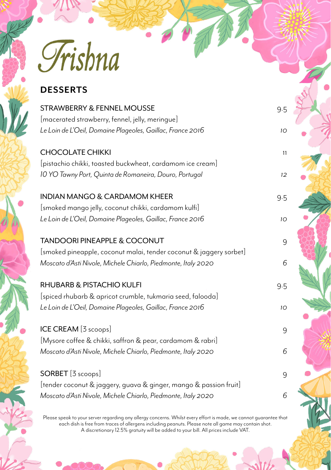Trishna

# **DESSERTS**

| STRAWBERRY & FENNEL MOUSSE                                                                                                          | 9.5 |
|-------------------------------------------------------------------------------------------------------------------------------------|-----|
| [macerated strawberry, fennel, jelly, meringue]<br>Le Loin de L'Oeil, Domaine Plageoles, Gaillac, France 2016                       | 10  |
| <b>CHOCOLATE CHIKKI</b><br>[pistachio chikki, toasted buckwheat, cardamom ice cream]                                                | 11  |
| 10 YO Tawny Port, Quinta de Romaneira, Douro, Portugal                                                                              | 12  |
| <b>INDIAN MANGO &amp; CARDAMOM KHEER</b><br>[smoked mango jelly, coconut chikki, cardamom kulfi]                                    | 9.5 |
| Le Loin de L'Oeil, Domaine Plageoles, Gaillac, France 2016                                                                          | 10  |
| <b>TANDOORI PINEAPPLE &amp; COCONUT</b>                                                                                             | 9   |
| [smoked pineapple, coconut malai, tender coconut & jaggery sorbet]<br>Moscato d'Asti Nivole, Michele Chiarlo, Piedmonte, Italy 2020 | 6   |
| RHUBARB & PISTACHIO KULFI                                                                                                           | 9.5 |
| [spiced rhubarb & apricot crumble, tukmaria seed, falooda]<br>Le Loin de L'Oeil, Domaine Plageoles, Gaillac, France 2016            | 10  |
| ICE CREAM [3 scoops]                                                                                                                | 9   |
| [Mysore coffee & chikki, saffron & pear, cardamom & rabri]<br>Moscato d'Asti Nivole, Michele Chiarlo, Piedmonte, Italy 2020         | 6   |
| SORBET [3 scoops]                                                                                                                   | 9   |
| [tender coconut & jaggery, guava & ginger, mango & passion fruit]<br>Moscato d'Asti Nivole, Michele Chiarlo, Piedmonte, Italy 2020  | 6   |

Please speak to your server regarding any allergy concerns. Whilst every effort is made, we cannot guarantee that each dish is free from traces of allergens including peanuts. Please note all game may contain shot. A discretionary 12.5% gratuity will be added to your bill. All prices include VAT.